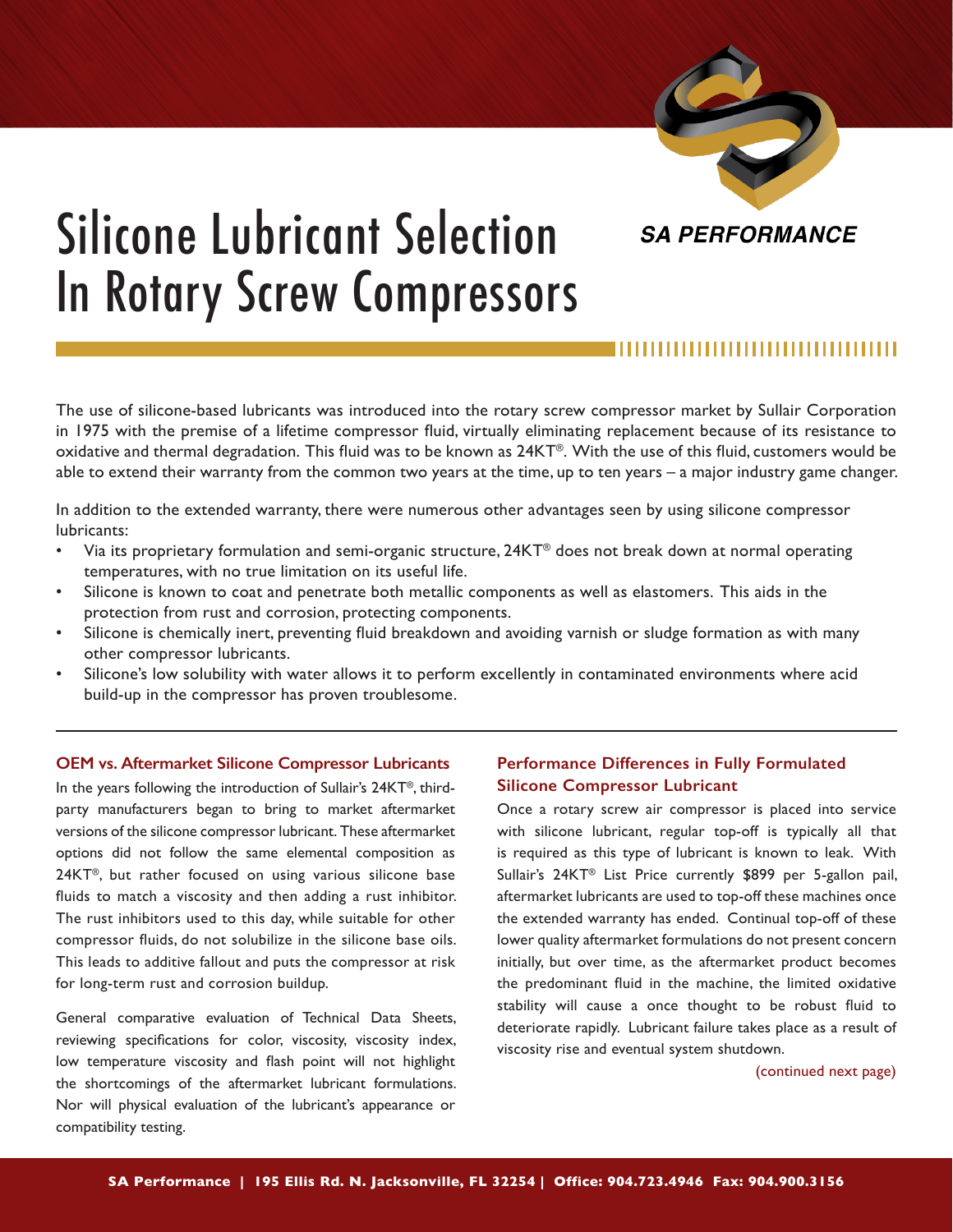

# Silicone Lubricant Selection In Rotary Screw Compressors

The use of silicone-based lubricants was introduced into the rotary screw compressor market by Sullair Corporation in 1975 with the premise of a lifetime compressor fluid, virtually eliminating replacement because of its resistance to oxidative and thermal degradation. This fluid was to be known as 24KT®. With the use of this fluid, customers would be able to extend their warranty from the common two years at the time, up to ten years – a major industry game changer.

In addition to the extended warranty, there were numerous other advantages seen by using silicone compressor lubricants:

- Via its proprietary formulation and semi-organic structure, 24KT® does not break down at normal operating temperatures, with no true limitation on its useful life.
- Silicone is known to coat and penetrate both metallic components as well as elastomers. This aids in the protection from rust and corrosion, protecting components.
- Silicone is chemically inert, preventing fluid breakdown and avoiding varnish or sludge formation as with many other compressor lubricants.
- Silicone's low solubility with water allows it to perform excellently in contaminated environments where acid build-up in the compressor has proven troublesome.

## **OEM vs. Aftermarket Silicone Compressor Lubricants**

In the years following the introduction of Sullair's 24KT®, thirdparty manufacturers began to bring to market aftermarket versions of the silicone compressor lubricant. These aftermarket options did not follow the same elemental composition as 24KT®, but rather focused on using various silicone base fluids to match a viscosity and then adding a rust inhibitor. The rust inhibitors used to this day, while suitable for other compressor fluids, do not solubilize in the silicone base oils. This leads to additive fallout and puts the compressor at risk for long-term rust and corrosion buildup.

General comparative evaluation of Technical Data Sheets, reviewing specifications for color, viscosity, viscosity index, low temperature viscosity and flash point will not highlight the shortcomings of the aftermarket lubricant formulations. Nor will physical evaluation of the lubricant's appearance or compatibility testing.

## **Performance Differences in Fully Formulated Silicone Compressor Lubricant**

Once a rotary screw air compressor is placed into service with silicone lubricant, regular top-off is typically all that is required as this type of lubricant is known to leak. With Sullair's 24KT® List Price currently \$899 per 5-gallon pail, aftermarket lubricants are used to top-off these machines once the extended warranty has ended. Continual top-off of these lower quality aftermarket formulations do not present concern initially, but over time, as the aftermarket product becomes the predominant fluid in the machine, the limited oxidative stability will cause a once thought to be robust fluid to deteriorate rapidly. Lubricant failure takes place as a result of viscosity rise and eventual system shutdown.

(continued next page)